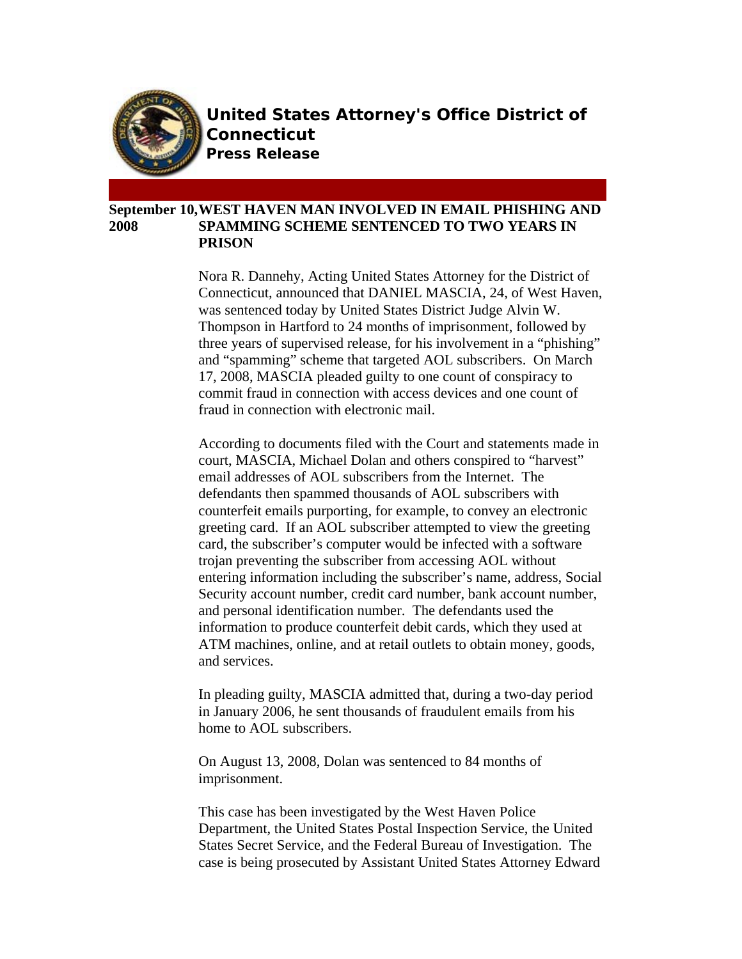

**United States Attorney's Office District of Connecticut Press Release**

## **September 10, WEST HAVEN MAN INVOLVED IN EMAIL PHISHING AND 2008 SPAMMING SCHEME SENTENCED TO TWO YEARS IN PRISON**

Nora R. Dannehy, Acting United States Attorney for the District of Connecticut, announced that DANIEL MASCIA, 24, of West Haven, was sentenced today by United States District Judge Alvin W. Thompson in Hartford to 24 months of imprisonment, followed by three years of supervised release, for his involvement in a "phishing" and "spamming" scheme that targeted AOL subscribers. On March 17, 2008, MASCIA pleaded guilty to one count of conspiracy to commit fraud in connection with access devices and one count of fraud in connection with electronic mail.

According to documents filed with the Court and statements made in court, MASCIA, Michael Dolan and others conspired to "harvest" email addresses of AOL subscribers from the Internet. The defendants then spammed thousands of AOL subscribers with counterfeit emails purporting, for example, to convey an electronic greeting card. If an AOL subscriber attempted to view the greeting card, the subscriber's computer would be infected with a software trojan preventing the subscriber from accessing AOL without entering information including the subscriber's name, address, Social Security account number, credit card number, bank account number, and personal identification number. The defendants used the information to produce counterfeit debit cards, which they used at ATM machines, online, and at retail outlets to obtain money, goods, and services.

In pleading guilty, MASCIA admitted that, during a two-day period in January 2006, he sent thousands of fraudulent emails from his home to AOL subscribers.

On August 13, 2008, Dolan was sentenced to 84 months of imprisonment.

This case has been investigated by the West Haven Police Department, the United States Postal Inspection Service, the United States Secret Service, and the Federal Bureau of Investigation. The case is being prosecuted by Assistant United States Attorney Edward